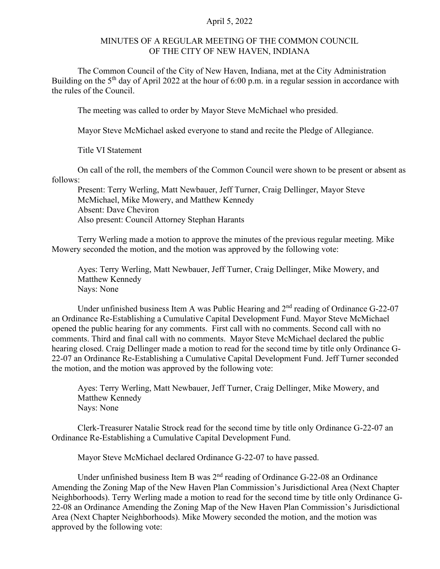## April 5, 2022

## MINUTES OF A REGULAR MEETING OF THE COMMON COUNCIL OF THE CITY OF NEW HAVEN, INDIANA

The Common Council of the City of New Haven, Indiana, met at the City Administration Building on the  $5<sup>th</sup>$  day of April 2022 at the hour of 6:00 p.m. in a regular session in accordance with the rules of the Council.

The meeting was called to order by Mayor Steve McMichael who presided.

Mayor Steve McMichael asked everyone to stand and recite the Pledge of Allegiance.

Title VI Statement

On call of the roll, the members of the Common Council were shown to be present or absent as follows:

Present: Terry Werling, Matt Newbauer, Jeff Turner, Craig Dellinger, Mayor Steve McMichael, Mike Mowery, and Matthew Kennedy Absent: Dave Cheviron Also present: Council Attorney Stephan Harants

Terry Werling made a motion to approve the minutes of the previous regular meeting. Mike Mowery seconded the motion, and the motion was approved by the following vote:

Ayes: Terry Werling, Matt Newbauer, Jeff Turner, Craig Dellinger, Mike Mowery, and Matthew Kennedy Nays: None

Under unfinished business Item A was Public Hearing and  $2<sup>nd</sup>$  reading of Ordinance G-22-07 an Ordinance Re-Establishing a Cumulative Capital Development Fund. Mayor Steve McMichael opened the public hearing for any comments. First call with no comments. Second call with no comments. Third and final call with no comments. Mayor Steve McMichael declared the public hearing closed. Craig Dellinger made a motion to read for the second time by title only Ordinance G-22-07 an Ordinance Re-Establishing a Cumulative Capital Development Fund. Jeff Turner seconded the motion, and the motion was approved by the following vote:

Ayes: Terry Werling, Matt Newbauer, Jeff Turner, Craig Dellinger, Mike Mowery, and Matthew Kennedy Nays: None

Clerk-Treasurer Natalie Strock read for the second time by title only Ordinance G-22-07 an Ordinance Re-Establishing a Cumulative Capital Development Fund.

Mayor Steve McMichael declared Ordinance G-22-07 to have passed.

Under unfinished business Item B was 2<sup>nd</sup> reading of Ordinance G-22-08 an Ordinance Amending the Zoning Map of the New Haven Plan Commission's Jurisdictional Area (Next Chapter Neighborhoods). Terry Werling made a motion to read for the second time by title only Ordinance G-22-08 an Ordinance Amending the Zoning Map of the New Haven Plan Commission's Jurisdictional Area (Next Chapter Neighborhoods). Mike Mowery seconded the motion, and the motion was approved by the following vote: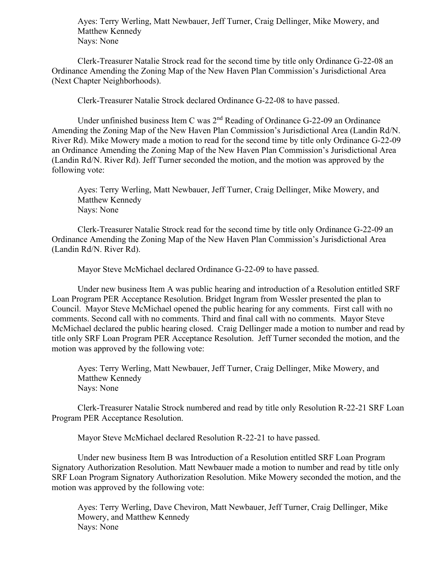Ayes: Terry Werling, Matt Newbauer, Jeff Turner, Craig Dellinger, Mike Mowery, and Matthew Kennedy Nays: None

Clerk-Treasurer Natalie Strock read for the second time by title only Ordinance G-22-08 an Ordinance Amending the Zoning Map of the New Haven Plan Commission's Jurisdictional Area (Next Chapter Neighborhoods).

Clerk-Treasurer Natalie Strock declared Ordinance G-22-08 to have passed.

Under unfinished business Item C was  $2<sup>nd</sup>$  Reading of Ordinance G-22-09 an Ordinance Amending the Zoning Map of the New Haven Plan Commission's Jurisdictional Area (Landin Rd/N. River Rd). Mike Mowery made a motion to read for the second time by title only Ordinance G-22-09 an Ordinance Amending the Zoning Map of the New Haven Plan Commission's Jurisdictional Area (Landin Rd/N. River Rd). Jeff Turner seconded the motion, and the motion was approved by the following vote:

Ayes: Terry Werling, Matt Newbauer, Jeff Turner, Craig Dellinger, Mike Mowery, and Matthew Kennedy Nays: None

Clerk-Treasurer Natalie Strock read for the second time by title only Ordinance G-22-09 an Ordinance Amending the Zoning Map of the New Haven Plan Commission's Jurisdictional Area (Landin Rd/N. River Rd).

Mayor Steve McMichael declared Ordinance G-22-09 to have passed.

Under new business Item A was public hearing and introduction of a Resolution entitled SRF Loan Program PER Acceptance Resolution. Bridget Ingram from Wessler presented the plan to Council. Mayor Steve McMichael opened the public hearing for any comments. First call with no comments. Second call with no comments. Third and final call with no comments. Mayor Steve McMichael declared the public hearing closed. Craig Dellinger made a motion to number and read by title only SRF Loan Program PER Acceptance Resolution. Jeff Turner seconded the motion, and the motion was approved by the following vote:

Ayes: Terry Werling, Matt Newbauer, Jeff Turner, Craig Dellinger, Mike Mowery, and Matthew Kennedy Nays: None

Clerk-Treasurer Natalie Strock numbered and read by title only Resolution R-22-21 SRF Loan Program PER Acceptance Resolution.

Mayor Steve McMichael declared Resolution R-22-21 to have passed.

Under new business Item B was Introduction of a Resolution entitled SRF Loan Program Signatory Authorization Resolution. Matt Newbauer made a motion to number and read by title only SRF Loan Program Signatory Authorization Resolution. Mike Mowery seconded the motion, and the motion was approved by the following vote:

Ayes: Terry Werling, Dave Cheviron, Matt Newbauer, Jeff Turner, Craig Dellinger, Mike Mowery, and Matthew Kennedy Nays: None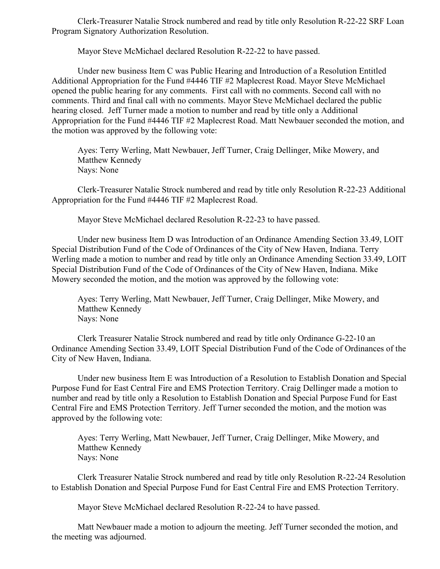Clerk-Treasurer Natalie Strock numbered and read by title only Resolution R-22-22 SRF Loan Program Signatory Authorization Resolution.

Mayor Steve McMichael declared Resolution R-22-22 to have passed.

Under new business Item C was Public Hearing and Introduction of a Resolution Entitled Additional Appropriation for the Fund #4446 TIF #2 Maplecrest Road. Mayor Steve McMichael opened the public hearing for any comments. First call with no comments. Second call with no comments. Third and final call with no comments. Mayor Steve McMichael declared the public hearing closed. Jeff Turner made a motion to number and read by title only a Additional Appropriation for the Fund #4446 TIF #2 Maplecrest Road. Matt Newbauer seconded the motion, and the motion was approved by the following vote:

Ayes: Terry Werling, Matt Newbauer, Jeff Turner, Craig Dellinger, Mike Mowery, and Matthew Kennedy Nays: None

Clerk-Treasurer Natalie Strock numbered and read by title only Resolution R-22-23 Additional Appropriation for the Fund #4446 TIF #2 Maplecrest Road.

Mayor Steve McMichael declared Resolution R-22-23 to have passed.

Under new business Item D was Introduction of an Ordinance Amending Section 33.49, LOIT Special Distribution Fund of the Code of Ordinances of the City of New Haven, Indiana. Terry Werling made a motion to number and read by title only an Ordinance Amending Section 33.49, LOIT Special Distribution Fund of the Code of Ordinances of the City of New Haven, Indiana. Mike Mowery seconded the motion, and the motion was approved by the following vote:

Ayes: Terry Werling, Matt Newbauer, Jeff Turner, Craig Dellinger, Mike Mowery, and Matthew Kennedy Nays: None

Clerk Treasurer Natalie Strock numbered and read by title only Ordinance G-22-10 an Ordinance Amending Section 33.49, LOIT Special Distribution Fund of the Code of Ordinances of the City of New Haven, Indiana.

Under new business Item E was Introduction of a Resolution to Establish Donation and Special Purpose Fund for East Central Fire and EMS Protection Territory. Craig Dellinger made a motion to number and read by title only a Resolution to Establish Donation and Special Purpose Fund for East Central Fire and EMS Protection Territory. Jeff Turner seconded the motion, and the motion was approved by the following vote:

Ayes: Terry Werling, Matt Newbauer, Jeff Turner, Craig Dellinger, Mike Mowery, and Matthew Kennedy Nays: None

Clerk Treasurer Natalie Strock numbered and read by title only Resolution R-22-24 Resolution to Establish Donation and Special Purpose Fund for East Central Fire and EMS Protection Territory.

Mayor Steve McMichael declared Resolution R-22-24 to have passed.

Matt Newbauer made a motion to adjourn the meeting. Jeff Turner seconded the motion, and the meeting was adjourned.